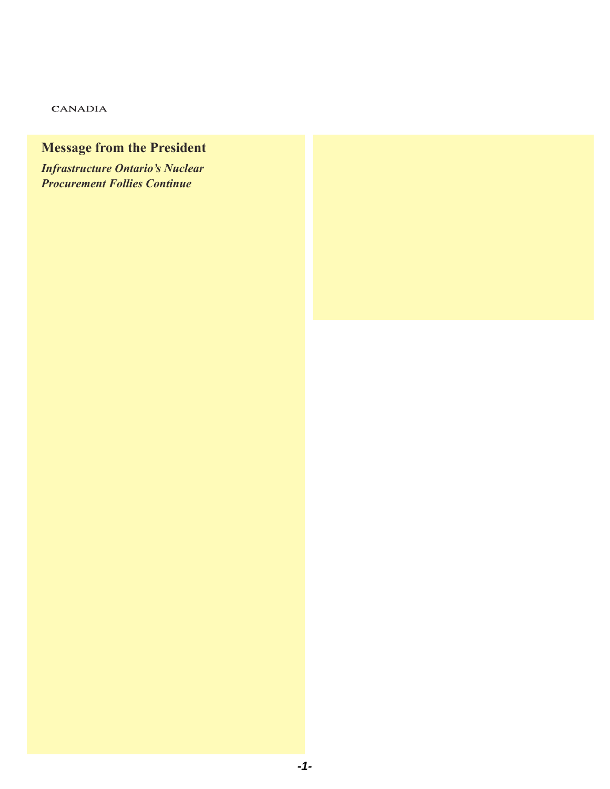### **CANADIA**

## **Message from the President**

# **Infrastructure Ontario's Nuclear** *Procurement Follies Continue*

On May 9th, Infrastructure Ontario enning only minder detailed in the race is contained in the race in the race is plan to refuge a model of its nuclear RFP process was complete. The press release indicated that proposal submissions from energy producers and reactor manufacturers and reactor manufacturers a AREVA NP, AECL and Westinghouse would be evaluated based on the respondent's capability to execute a plan; meet regulatory requirements; willingness and capacity to deliver the project; the proponents financial strength; and last but not least, the legal position of the respondent. Respondents meeting an overall "satisfactory" rating in Phase 1 would be invited to participate in Phase 2. Is this long-drawn out exercise really necessary?

By any criteria, AECL's CANDU technology is the clear winner. AECL has built 36 reactors both domestically and abroad representing about 10 percent of the world's global base. In the last 10 years, AECL has built more reactors abroad than any competitor as well as delivering them ontime and on-budget.

Canada has 46 years worth of safe operating experience with the CANDU technology. 2005 Option Corporation Corporation Corporation Corporation Corporation Corporation Corporation Corporation Co<br>2005 Option Corporation Corporation Corporation Corporation Corporation Corporation Corporation Corporation Co 10 operating

Meeting regulatory requirements with an updated and improved CANDU design should not be a major challenge<br>sither either. nualea anu

AECL's willingness and capacity to deliver should be evident. Ontario plans to spend approximately \$40 billion on two new nuclear plants and refurbishing existing CANDU reactors. As nuclear prains and rerundishing existing CANDO reactors. A<br>well, New Brunswick, Alberta and now Saskatchewan are war, New Branswick, Abd ta and now easkatchewariate<br>considering new nuclear plants. This should be pretty good echadering now hacked plane. This disease be pretty good buy CANDU, why should any other country do so? should be evident.

On the delivery side, it should be clear that there are 150 Canadian companies, 30,000 high-skill jobs and another 70,000 in supplies and services that support CANDU. On top of that, hundreds of thousands of dollars of R&D money and revenues from isotope sales are at risk. Most of this activity is concentrated in Ontario. Switching to another technology means fewer jobs, lost economic benefits and a diminished global leadership role in nuclear technology. Given the state of Ontario's manufacturing sector, the province's decisionmakers should have no trouble understanding this.

The "proponent's financial strength" criterion appears to be a euphemism for who can offer the best 'cost overrun" protection. Areva NP and the French Government are finding out with their troubled, behind schedule 1,600 MW European Pressurized Water Reactor in Olkiluoto, Finland, that this can be very expensive. Negotiating the best deal on behalf of

electricity consumers makes sense. But with respect to CANDU technology, you cannot ignore the huge economic<br>Spin-offs and benefits that accrue to the Ontario and Canadi spin-offs and benefits that accrue to the Ontario and Canadian economies with this successful, home-grown technology.

CANDU nuclear technology is a Canadian success story. Only CANDU nuclear technology is a Canadian success s<br>five countries in the world have pioneered a reactor *Is* technology. A "no CANDU" decision by Ontario will relegate Canada to a role of providing uranium and processed fuel, instead of being a global leader. Our federal government has spoken out clearly in support of CANDU technology. So far Ontario's politicians are only talking about buying home grown produce to help the province's ailing economy. For a grown produce to neip the province's armig economy. For a<br>real boost, it's time for Ontario's politicians to stop the RFP follies and select "made-in-Ontario" CANDU.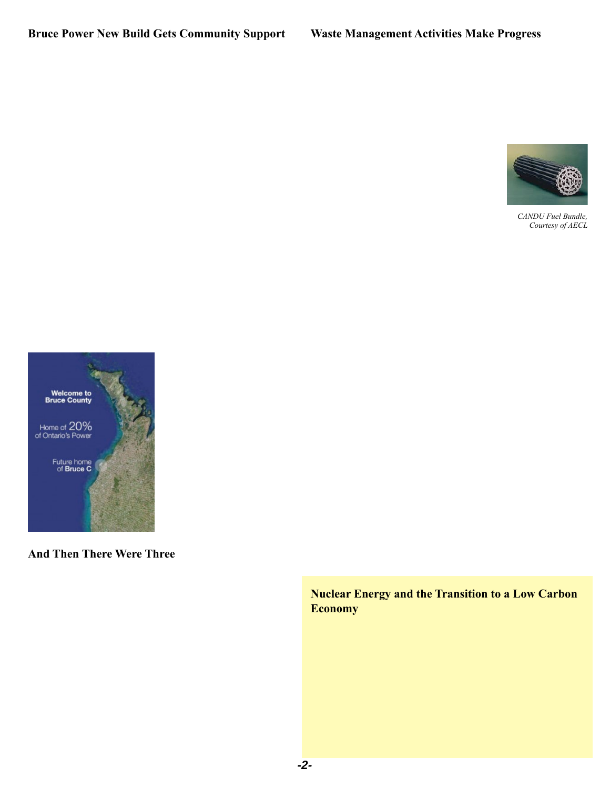## **Bruce Power New Build Gets Community Support**

In early April, the Canadian Environmental Assessment Agency and the Canadian Nuclear Safety Commission (CNSC) released two documents for public comment related to Bruce Power's new nuclear power plant. Brue Power is proposing to build up to 4 new nuclear reactors (4,000 MW) at the existing Bruce Nuclear site, north of Kincardine, Onario. The draft Environmental Impact Statement (EIS) guidelines, identifies the information needed to examine any potential environmental effects from the proposed project. The second document, the draft Joint Review Panel (JRP) agreement lays out the proposed procedures for selecting JRP members, terms of reference and review process. Public comments on both documents, written in either English or French are due by June 18th, 2008.

On April 28th, Bruce Power's proposal received a ringing endorsement from a new citizens' group. Local residents, calling themselves "Citizens for Bruce C", want the province's first new nuclear plant in a generation to be built at the Bruce site. Reasons cited for the project being located at the Bruce include strong community support, an experienced work force and Bruce Power's ability to attract investment.

The group's Steering Committee includes representatives from the local business community, labour groups, and Chamber of Commerce. The campaign has launched a website, www.citizensforbrucec.com . The site contains information relevant to the Bruce proposal and a petition of support local residents can sign. Over the next several weeks the group plans to place advertisements in local papers and radio stations.



The website's opening page notes that local communities have been the host to one of the most successful nuclear facilities in the world. It also calls on the community to let policy-makers know that residents recognize the benefits that accrue from such a project. According to an analysis conducted by Dr. Harry Kitchen of Trent University, the new build project would inject \$584M into the local economy during construction and another \$238M a year over the 60 year operation of the plant.

# **And Then There Were Three**

Infrastructure Ontario issued a brief news release on April 8th indicating that their Nuclear Procurement Project had moved to the next step with bilateral commercial meetings. The release also noted that GE Hitachi Nuclear Energy had made a business decision to withdraw from the competitive process and focus on licensing efforts for their ESBWR design with the U.S. Nuclear Regulatory Commission.

According to a Toronto Star article the following day, experts were saying that the company was caught off guard by the invitation to bid. Now that its Canadian operation was part of the "Team Candu" bid, GE Hitachi found itself in a difficult situation.

GE Canada has operated here for over a hundred years beginning with its manufacturing facility in Peterborough Ontario. This Canadian operation has worked closely with AECL and helped build Ontario's first nuclear power reactor

## **Waste Management Activities Make Progress**

Back in March, the Nuclear Waste Management Organization (NWMO) released its 2007 Annual Report. Aptly titled, "Moving Forward Together", the Report identified the Government of Canada's acceptance of the NWMO's recommended Adaptive Phased Management (APM) approach for long-term care of used fuel. APM is described as being "both a technical method and a management system, with the emphasis on adaptability." From the technical perspective, it is centralized containment and isolation of used fuel in a deep geological repository. However, the management system

provides for "manageable phases" each with a decision point allowing for go, no-go decisions. For example, APM provides an option for shallow underground storage at the central site, as well as continuous monitoring and retrievability for an extended period.



With the Government's acceptance of APM, the NWMO will transition from a study group to a sustainable implementing organization. The

*CANDU Fuel Bundle, Courtesy of AECL*

NWMO will now be responsible for implementing the five-year plan they drafted, "Implementing Adaptive Phased Management: 2008 to 2012. The NWMO posted the draft plan on their website in April and is now seeking public comment. Also, posted for public comment is a proposed Transparency Policy. This reflects the NWMO's commitment to being "open and transparent" in their process, communications and decision-making.

Also in April, the CNSC released two documents related to Ontario Power Generation's (OPG) proposed Deep Geologic Repository (DGR) Project for public comment. OPG is proposing to store low and intermediate-level radioactive waste in the municipality of Kincardine, Ontario. The draft Environmental Impact Statement (EIS) guidelines and the draft Joint Review Panel (JRP) agreement are posted at: www.ceaa-acee.gc.ca (Canadian Environmental Assessment Registry. Written comments, in either English or French, on the draft documents must be received no later than June 18th, 2008.

According to OPG's 2007 Annual Report on the Project, the DGR would be located about 680 metres below ground surface in low permeability limestone, beneath a 200 metre thick layer of low permeability shale. Open houses were held in October 2007 in the communities of Kincardine, Port Elgin, Owen Sound, Walkerton, Wiarton, Chesley and Ripley. OPG also met several times with representatives of the Saugeen Ojibway Nations during the year. As well, three project specific newsletters were distributed to more than 25,000 residences.

Following additional design work, safety assessments, drilling and testing over the next three years, OPG expects to submit the EIS to the Joint Panel in 2011.

## **Nuclear Energy and the Transition to a Low Carbon Economy**

In an April 2008 speech to the European Nuclear Assembly conference in Brussels, European Energy Commissioner Piebalgs spoke about the importance of nuclear energy for the reduction of CO2 emissions.

"Nuclear energy makes an important contribution to our fight against climate change and our security of energy supply…The EU needs substantial investments in order to replace its ageing power plants. A large number of currently operating power plants will reach the end of their lifespan before 2030. In order to make the necessary investments possible, the Commission is examining ways to address difficulties related to licensing, financing and different nuclear liability regimes."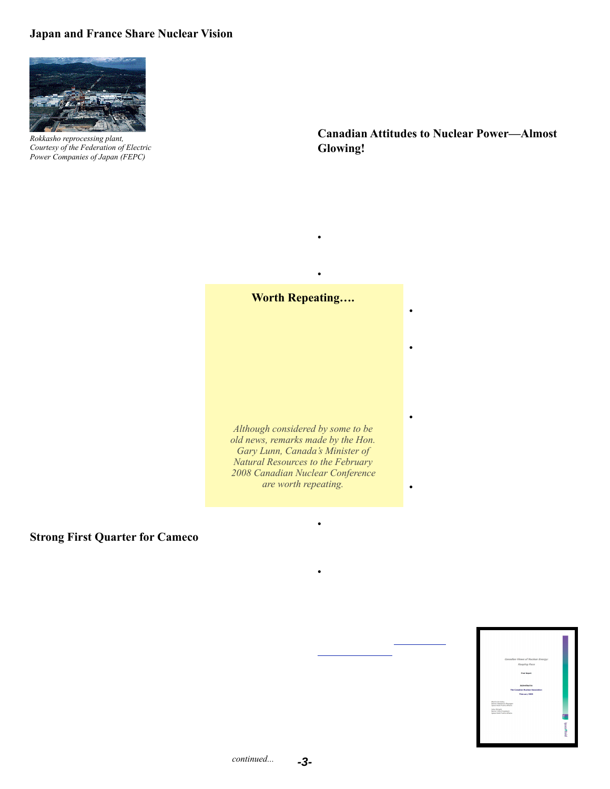## **Japan and France Share Nuclear Vision**



The prime ministers of Japan and France issued a joint statement on their shared vision of nuclear energy on April 11th in Tokyo. Both countries see nuclear energy as having a "paramount role for prosperity and sustainable development in the 21st century."

*Rokkasho reprocessing plant, Courtesy of the Federation of Electric Power Companies of Japan (FEPC)*

Nuclear energy supplies 75% of France's electricity. It also earns

over 3 B EUR a year from electricity exports supported by its very low cost of generation and is a major exporter of reactors, fuel products and services. Japan imports about 80% of its energy requirements. About 30% of the country's electricity is supplied by 55 nuclear reactors—this expected to increase to about 40% by 2017.

The joint statement says that nuclear energy is becoming increasingly important to international energy security and for tackling global warming. Both countries indicated that they

would be pushing to have global warming, and the role of nuclear energy in helping to address it, on the upcoming G8 agenda in July

Japan's greenhouse gas emission rose 7.7% between 1990 and 2005. The country's Kyoto target calls for emissions to be reduced by 6% from 1990 levels by 2012. The increase means Japan must now reduce emissions by 13.7%.

Just six days later, Japan's Prime Minister announced plans to step up the promotion of nuclear power with an international conference held by Japan's Atomic Industrial Forum. These remarks precede the opening of a controversial nuclear reprocessing facility in northern Japan. The Rokkasho plant, Japan's first largescale reprocessing plant will allow nuclear waste to be recycled by extracting uranium and plutonium.

### **Worth Repeating….**

"Our country leads the world in uranium production; we have our own CANDU technology; we are seeing new build opportunities both in Ontario and New Brunswick. We have a brilliant workforce that is second to none. You can be the best in the world."

*Although considered by some to be old news, remarks made by the Hon. Gary Lunn, Canada's Minister of Natural Resources to the February 2008 Canadian Nuclear Conference are worth repeating.*

Hope facility no earlier than Q3 of this year. A full restart is dependent upon CNSC approval.

Some delays have been encountered with the second new mining area at McArthur River. A contingency plan is being developed to address the challenges affecting the production schedule for 2009. These delays are not expected to have any impact on production beyond 2009.

## **Canadian Attitudes to Nuclear Power—Almost Glowing!**

 January telephone poll of Canadians conducted for the Canadian Nuclear Association by Ipsos Reid shows increasing support for nuclear energy, including building new and refurbishing existing plants. Energy supply concerns are also high on the public's agenda (one in ten Canadians - up 8 points from the previous year.) Some of the highlights are as follows:

- Forty seven percent of Canadians support nuclear energy—up 12 points from February 2005. Solar, wind, hydroelectric and natural gas receive higher ratings.
- Support for nuclear is strongest in Ontario (65%) and Saskatchewan at (55%). Quebec has the lowest support at twenty-two percent.

• Support for nuclear energy continues to increase (from 2005) in all parts of the country except Alberta.

• Canadians continue to be more supportive of upgrading and refurbishing existing reactors than building new ones (67% vs 48%). Even in Quebec where support for nuclear is lowest, 51% support refurbishing.

• More than one half (55%) of Canadians cannot mention any top of mind benefits to nuclear power. Among those that do, 21% mention environmentally friendly, 15% as clean and 6% as a source of electricity

• A majority (59%) feel that their confidence has improved (31%) or stayed the same (28%).

### **Strong First Quarter for Cameco**

On May 13, 2008, Cameco Corporation reported that first quarter net earnings were 125 percent higher than those in Q1 2007 driven by better uranium and gold business results. The average realized selling price of uranium was up 55 percent compared to the same period in 2007 and reported sales volumes were up 17 percent.

Progress also continued to be made at Cigar Lake. In October 2006, a rock fall caused the flooding of this development. In April 2008, Cameco submitted an application to the Canadian Nuclear Safety Commission (CNSC) to allow dewatering and other remediation work leading up to, but not including the restart of construction. The CNSC is developing a schedule for the review of this application. Cameco anticipates production to start up in 2011 at the earliest. This will be dependent upon successfully dewatering the mine, completing an assessment of the underground development and incorporating the findings into the new mine development and production plans. As well, Cameco projects that UF6 production will resume at the Port

- One half (53%) of Canadians feel their province doesn't have enough energy. Supply concerns are most acute in Ontario (only 38% think there is enough supply) and British Columbia (40%).
- In Ontario 60% feel the government is moving either too slowly (25%) or somewhat slowly (35%) in building new nuclear facilities.

As well, the poll found that two-thirds of Canadians (64%) don't think conservation efforts will be enough to ensure supply.

Additional information on the results can be found at: http://cna.ca/ english/index2.asp

At the end of the day, the critical deciding factor will be the extent to which the Government of New Brunswick feels that the Team CANDU feasibility study meets "certain conditions" laid out in the MZConsulting Report.

| Canadian Views of Nuclear Energy:                                        |                     |
|--------------------------------------------------------------------------|---------------------|
| Keeping Pace                                                             |                     |
| <b>Final Benefit</b>                                                     |                     |
| Sabra West Ass                                                           |                     |
| The Canadian Nuclear Association                                         |                     |
| February 2008                                                            |                     |
| Martin Hrobsky<br>Senior Research Hanager<br>Ignes Reid Public Affairs   |                     |
| <b>John Wright</b><br>Senior Vice President<br>Donos Reid Public Affairs |                     |
|                                                                          |                     |
|                                                                          | <b>B</b> lpsos#Reid |
|                                                                          |                     |
|                                                                          |                     |
|                                                                          |                     |

*continued...*